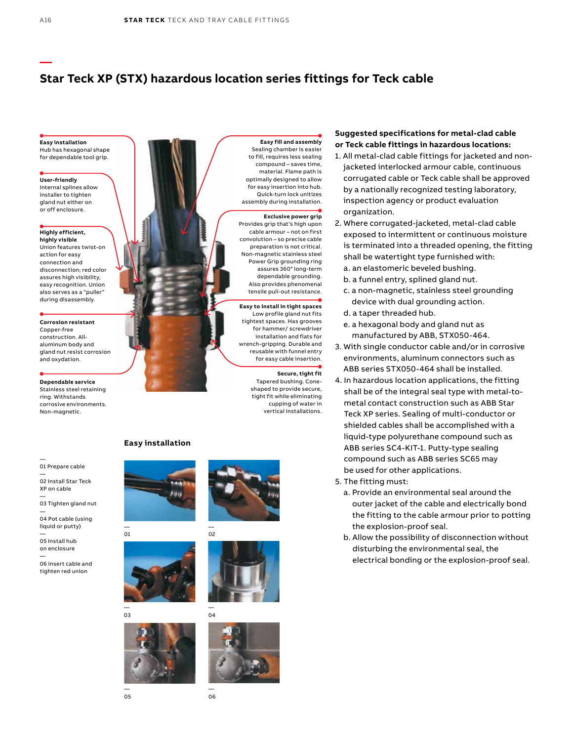# **Star Teck XP (STX) hazardous location series fittings for Teck cable**

**Easy installation** Hub has hexagonal shape for dependable tool grip.

**—**

**User-friendly** Internal splines allow installer to tighten gland nut either on or off enclosure.

**Highly efficient, highly visible**

Union features twist-on action for easy connection and disconnection; red color assures high visibility. easy recognition. Union also serves as a "puller" during disassembly.

**Corrosion resistant** Copper-free construction. Allaluminum body and gland nut resist corrosion and oxydation.

**Dependable service** Stainless steel retaining ring. Withstands corrosive environments. Non-magnetic.

#### — 01 Prepare cable —

02 Install Star Teck XP on cable —

03 Tighten gland nut — 04 Pot cable (using

liquid or putty) —

05 Install hub on enclosure —

06 Insert cable and tighten red union



to fill, requires less sealing compound – saves time, material. Flame path is optimally designed to allow for easy insertion into hub. Quick-turn lock unitizes assembly during installation.

### **Exclusive power grip**

Provides grip that's high upon cable armour – not on first convolution – so precise cable preparation is not critical. Non-magnetic stainless steel Power Grip grounding ring assures 360° long-term dependable grounding. Also provides phenomenal tensile pull-out resistance.

**Easy to install in tight spaces** Low profile gland nut fits tightest spaces. Has grooves for hammer/ screwdriver installation and flats for wrench-gripping. Durable and reusable with funnel entry for easy cable insertion.

> **Secure, tight fit** Tapered bushing. Coneshaped to provide secure, tight fit while eliminating cupping of water in vertical installations.

## **Suggested specifications for metal-clad cable or Teck cable fittings in hazardous locations:**

- 1. All metal-clad cable fittings for jacketed and nonjacketed interlocked armour cable, continuous corrugated cable or Teck cable shall be approved by a nationally recognized testing laboratory, inspection agency or product evaluation organization.
- 2. Where corrugated-jacketed, metal-clad cable exposed to intermittent or continuous moisture is terminated into a threaded opening, the fitting shall be watertight type furnished with:
	- a. an elastomeric beveled bushing.
	- b. a funnel entry, splined gland nut.
	- c. a non-magnetic, stainless steel grounding device with dual grounding action.
	- d. a taper threaded hub.
	- e. a hexagonal body and gland nut as manufactured by ABB, STX050-464.
- 3. With single conductor cable and/or in corrosive environments, aluminum connectors such as ABB series STX050-464 shall be installed.
- 4. In hazardous location applications, the fitting shall be of the integral seal type with metal-tometal contact construction such as ABB Star Teck XP series. Sealing of multi-conductor or shielded cables shall be accomplished with a liquid-type polyurethane compound such as ABB series SC4-KIT-1. Putty-type sealing compound such as ABB series SC65 may be used for other applications.
- 5. The fitting must:
	- a. Provide an environmental seal around the outer jacket of the cable and electrically bond the fitting to the cable armour prior to potting the explosion-proof seal.
	- b. Allow the possibility of disconnection without disturbing the environmental seal, the electrical bonding or the explosion-proof seal.

### **Easy installation**







— 04





— 03



—